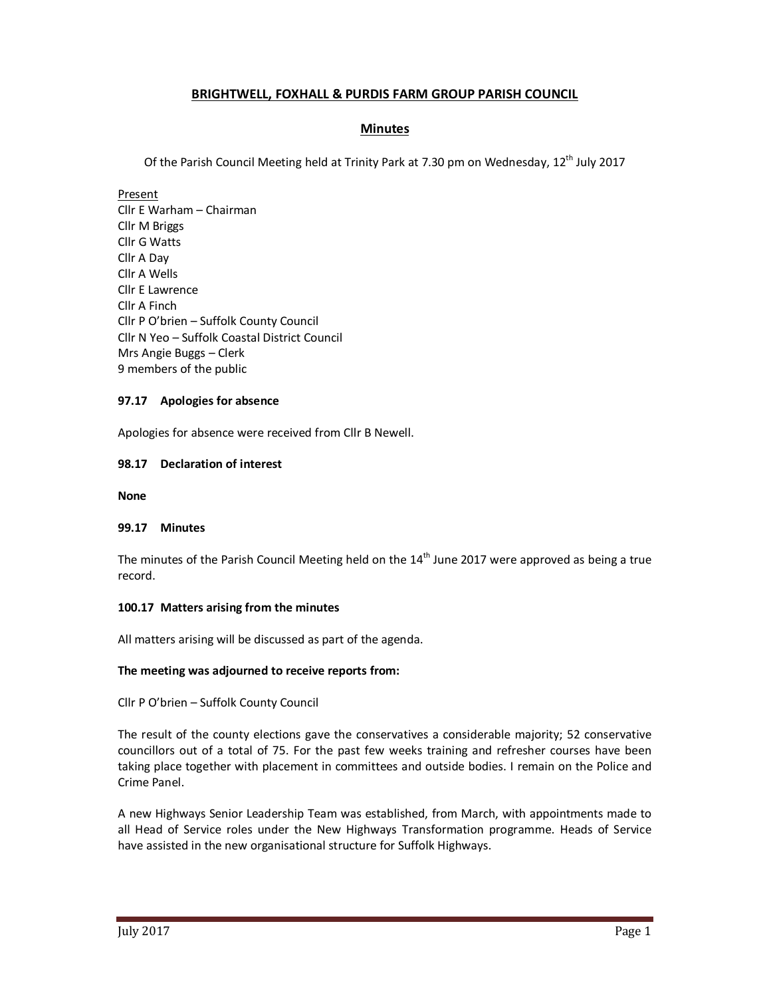# **BRIGHTWELL, FOXHALL & PURDIS FARM GROUP PARISH COUNCIL**

# **Minutes**

Of the Parish Council Meeting held at Trinity Park at 7.30 pm on Wednesday, 12<sup>th</sup> July 2017

Present Cllr E Warham – Chairman Cllr M Briggs Cllr G Watts Cllr A Day Cllr A Wells Cllr E Lawrence Cllr A Finch Cllr P O'brien – Suffolk County Council Cllr N Yeo – Suffolk Coastal District Council Mrs Angie Buggs – Clerk 9 members of the public

### **97.17 Apologies for absence**

Apologies for absence were received from Cllr B Newell.

### **98.17 Declaration of interest**

**None** 

### **99.17 Minutes**

The minutes of the Parish Council Meeting held on the  $14<sup>th</sup>$  June 2017 were approved as being a true record.

### **100.17 Matters arising from the minutes**

All matters arising will be discussed as part of the agenda.

### **The meeting was adjourned to receive reports from:**

Cllr P O'brien – Suffolk County Council

The result of the county elections gave the conservatives a considerable majority; 52 conservative councillors out of a total of 75. For the past few weeks training and refresher courses have been taking place together with placement in committees and outside bodies. I remain on the Police and Crime Panel.

A new Highways Senior Leadership Team was established, from March, with appointments made to all Head of Service roles under the New Highways Transformation programme. Heads of Service have assisted in the new organisational structure for Suffolk Highways.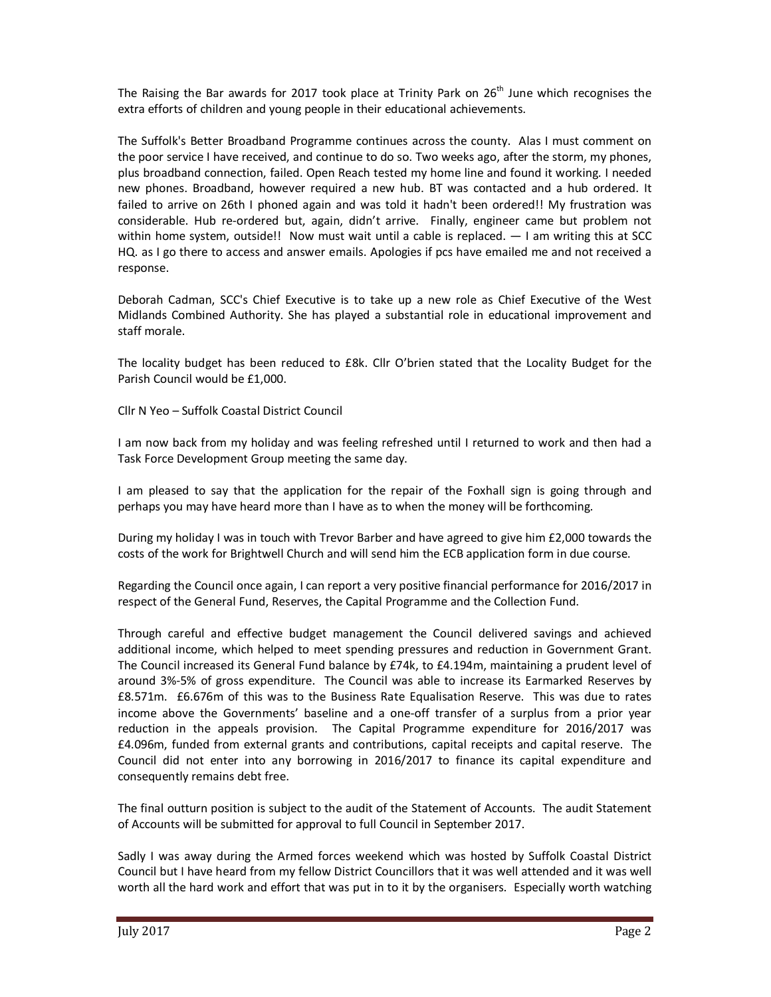The Raising the Bar awards for 2017 took place at Trinity Park on  $26<sup>th</sup>$  June which recognises the extra efforts of children and young people in their educational achievements.

The Suffolk's Better Broadband Programme continues across the county. Alas I must comment on the poor service I have received, and continue to do so. Two weeks ago, after the storm, my phones, plus broadband connection, failed. Open Reach tested my home line and found it working. I needed new phones. Broadband, however required a new hub. BT was contacted and a hub ordered. It failed to arrive on 26th I phoned again and was told it hadn't been ordered!! My frustration was considerable. Hub re-ordered but, again, didn't arrive. Finally, engineer came but problem not within home system, outside!! Now must wait until a cable is replaced.  $-1$  am writing this at SCC HQ. as I go there to access and answer emails. Apologies if pcs have emailed me and not received a response.

Deborah Cadman, SCC's Chief Executive is to take up a new role as Chief Executive of the West Midlands Combined Authority. She has played a substantial role in educational improvement and staff morale.

The locality budget has been reduced to £8k. Cllr O'brien stated that the Locality Budget for the Parish Council would be £1,000.

Cllr N Yeo – Suffolk Coastal District Council

I am now back from my holiday and was feeling refreshed until I returned to work and then had a Task Force Development Group meeting the same day.

I am pleased to say that the application for the repair of the Foxhall sign is going through and perhaps you may have heard more than I have as to when the money will be forthcoming.

During my holiday I was in touch with Trevor Barber and have agreed to give him £2,000 towards the costs of the work for Brightwell Church and will send him the ECB application form in due course.

Regarding the Council once again, I can report a very positive financial performance for 2016/2017 in respect of the General Fund, Reserves, the Capital Programme and the Collection Fund.

Through careful and effective budget management the Council delivered savings and achieved additional income, which helped to meet spending pressures and reduction in Government Grant. The Council increased its General Fund balance by £74k, to £4.194m, maintaining a prudent level of around 3%-5% of gross expenditure. The Council was able to increase its Earmarked Reserves by £8.571m. £6.676m of this was to the Business Rate Equalisation Reserve. This was due to rates income above the Governments' baseline and a one-off transfer of a surplus from a prior year reduction in the appeals provision. The Capital Programme expenditure for 2016/2017 was £4.096m, funded from external grants and contributions, capital receipts and capital reserve. The Council did not enter into any borrowing in 2016/2017 to finance its capital expenditure and consequently remains debt free.

The final outturn position is subject to the audit of the Statement of Accounts. The audit Statement of Accounts will be submitted for approval to full Council in September 2017.

Sadly I was away during the Armed forces weekend which was hosted by Suffolk Coastal District Council but I have heard from my fellow District Councillors that it was well attended and it was well worth all the hard work and effort that was put in to it by the organisers. Especially worth watching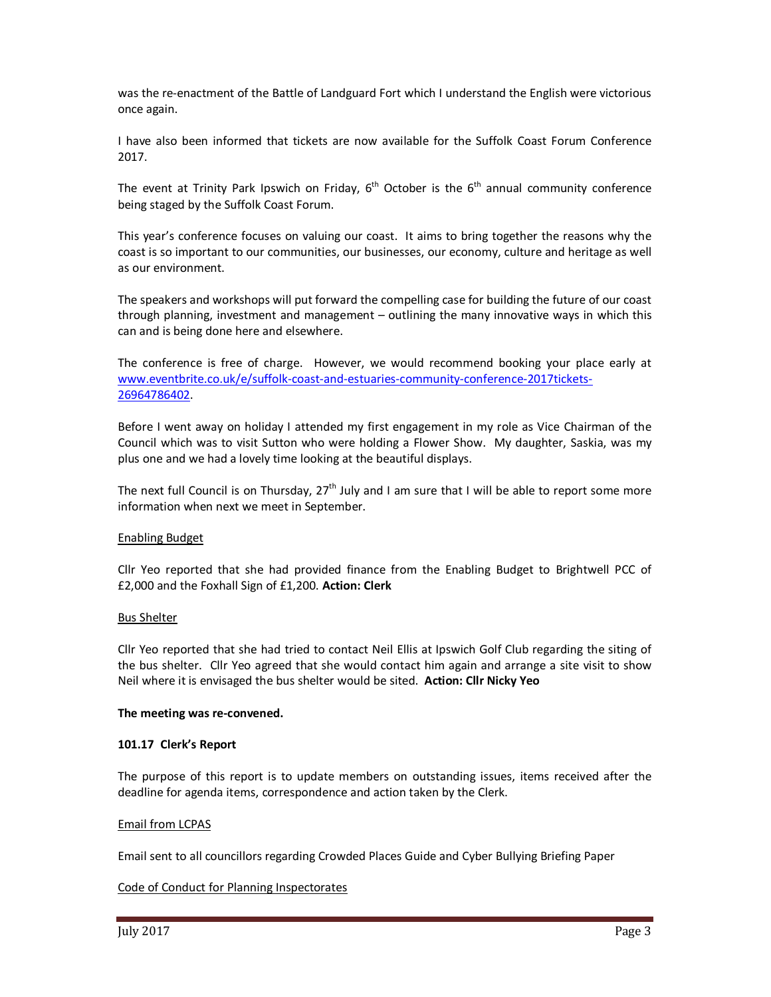was the re-enactment of the Battle of Landguard Fort which I understand the English were victorious once again.

I have also been informed that tickets are now available for the Suffolk Coast Forum Conference 2017.

The event at Trinity Park Ipswich on Friday,  $6<sup>th</sup>$  October is the  $6<sup>th</sup>$  annual community conference being staged by the Suffolk Coast Forum.

This year's conference focuses on valuing our coast. It aims to bring together the reasons why the coast is so important to our communities, our businesses, our economy, culture and heritage as well as our environment.

The speakers and workshops will put forward the compelling case for building the future of our coast through planning, investment and management – outlining the many innovative ways in which this can and is being done here and elsewhere.

The conference is free of charge. However, we would recommend booking your place early at www.eventbrite.co.uk/e/suffolk-coast-and-estuaries-community-conference-2017tickets-26964786402.

Before I went away on holiday I attended my first engagement in my role as Vice Chairman of the Council which was to visit Sutton who were holding a Flower Show. My daughter, Saskia, was my plus one and we had a lovely time looking at the beautiful displays.

The next full Council is on Thursday,  $27<sup>th</sup>$  July and I am sure that I will be able to report some more information when next we meet in September.

#### Enabling Budget

Cllr Yeo reported that she had provided finance from the Enabling Budget to Brightwell PCC of £2,000 and the Foxhall Sign of £1,200. **Action: Clerk** 

#### Bus Shelter

Cllr Yeo reported that she had tried to contact Neil Ellis at Ipswich Golf Club regarding the siting of the bus shelter. Cllr Yeo agreed that she would contact him again and arrange a site visit to show Neil where it is envisaged the bus shelter would be sited. **Action: Cllr Nicky Yeo** 

#### **The meeting was re-convened.**

#### **101.17 Clerk's Report**

The purpose of this report is to update members on outstanding issues, items received after the deadline for agenda items, correspondence and action taken by the Clerk.

#### Email from LCPAS

Email sent to all councillors regarding Crowded Places Guide and Cyber Bullying Briefing Paper

#### Code of Conduct for Planning Inspectorates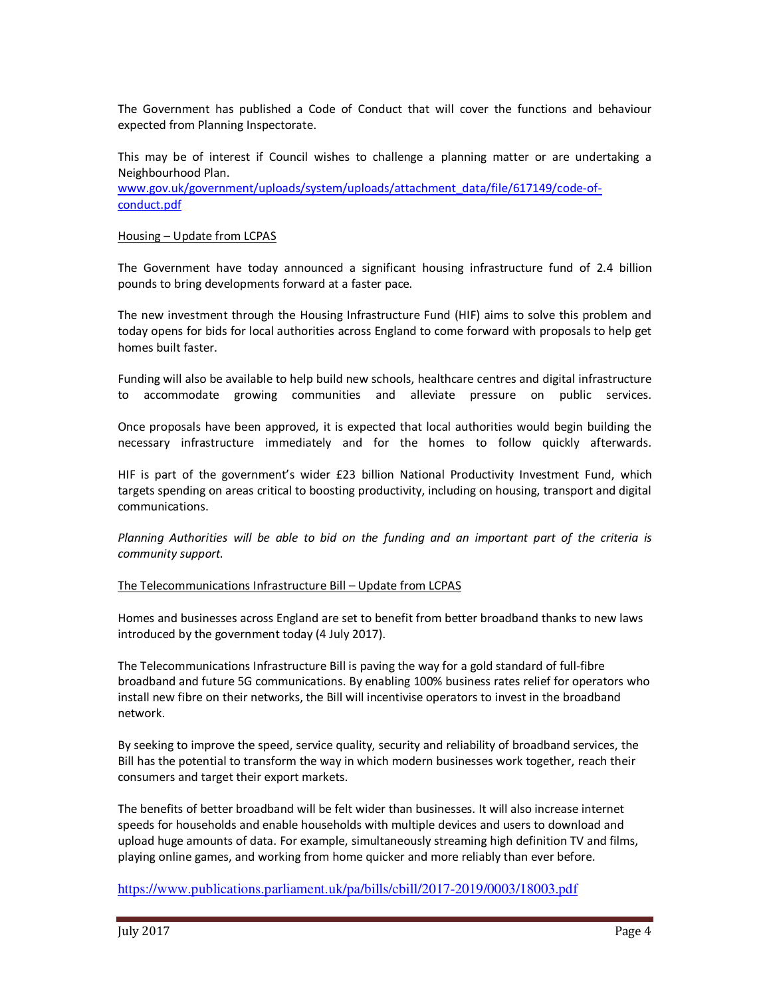The Government has published a Code of Conduct that will cover the functions and behaviour expected from Planning Inspectorate.

This may be of interest if Council wishes to challenge a planning matter or are undertaking a Neighbourhood Plan.

www.gov.uk/government/uploads/system/uploads/attachment\_data/file/617149/code-ofconduct.pdf

#### Housing – Update from LCPAS

The Government have today announced a significant housing infrastructure fund of 2.4 billion pounds to bring developments forward at a faster pace.

The new investment through the Housing Infrastructure Fund (HIF) aims to solve this problem and today opens for bids for local authorities across England to come forward with proposals to help get homes built faster.

Funding will also be available to help build new schools, healthcare centres and digital infrastructure to accommodate growing communities and alleviate pressure on public services.

Once proposals have been approved, it is expected that local authorities would begin building the necessary infrastructure immediately and for the homes to follow quickly afterwards.

HIF is part of the government's wider £23 billion National Productivity Investment Fund, which targets spending on areas critical to boosting productivity, including on housing, transport and digital communications.

*Planning Authorities will be able to bid on the funding and an important part of the criteria is community support.* 

#### The Telecommunications Infrastructure Bill – Update from LCPAS

Homes and businesses across England are set to benefit from better broadband thanks to new laws introduced by the government today (4 July 2017).

The Telecommunications Infrastructure Bill is paving the way for a gold standard of full-fibre broadband and future 5G communications. By enabling 100% business rates relief for operators who install new fibre on their networks, the Bill will incentivise operators to invest in the broadband network.

By seeking to improve the speed, service quality, security and reliability of broadband services, the Bill has the potential to transform the way in which modern businesses work together, reach their consumers and target their export markets.

The benefits of better broadband will be felt wider than businesses. It will also increase internet speeds for households and enable households with multiple devices and users to download and upload huge amounts of data. For example, simultaneously streaming high definition TV and films, playing online games, and working from home quicker and more reliably than ever before.

https://www.publications.parliament.uk/pa/bills/cbill/2017-2019/0003/18003.pdf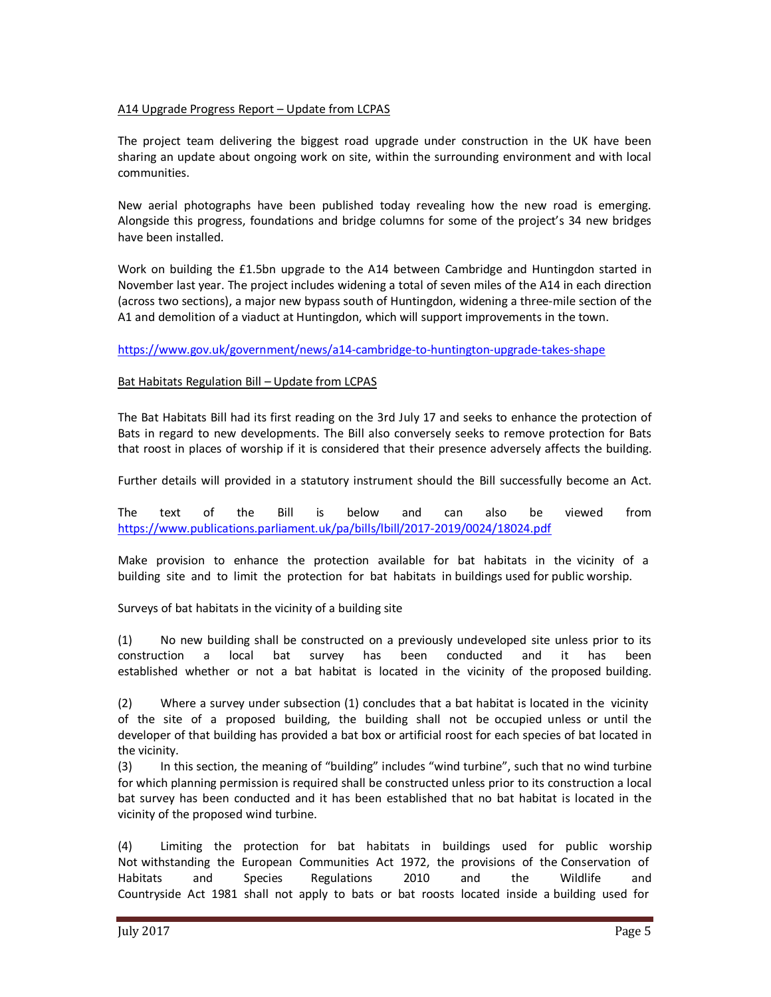### A14 Upgrade Progress Report – Update from LCPAS

The project team delivering the biggest road upgrade under construction in the UK have been sharing an update about ongoing work on site, within the surrounding environment and with local communities.

New aerial photographs have been published today revealing how the new road is emerging. Alongside this progress, foundations and bridge columns for some of the project's 34 new bridges have been installed.

Work on building the £1.5bn upgrade to the A14 between Cambridge and Huntingdon started in November last year. The project includes widening a total of seven miles of the A14 in each direction (across two sections), a major new bypass south of Huntingdon, widening a three-mile section of the A1 and demolition of a viaduct at Huntingdon, which will support improvements in the town.

https://www.gov.uk/government/news/a14-cambridge-to-huntington-upgrade-takes-shape

#### Bat Habitats Regulation Bill – Update from LCPAS

The Bat Habitats Bill had its first reading on the 3rd July 17 and seeks to enhance the protection of Bats in regard to new developments. The Bill also conversely seeks to remove protection for Bats that roost in places of worship if it is considered that their presence adversely affects the building.

Further details will provided in a statutory instrument should the Bill successfully become an Act.

The text of the Bill is below and can also be viewed from https://www.publications.parliament.uk/pa/bills/lbill/2017-2019/0024/18024.pdf

Make provision to enhance the protection available for bat habitats in the vicinity of a building site and to limit the protection for bat habitats in buildings used for public worship.

Surveys of bat habitats in the vicinity of a building site

(1) No new building shall be constructed on a previously undeveloped site unless prior to its construction a local bat survey has been conducted and it has been established whether or not a bat habitat is located in the vicinity of the proposed building.

(2) Where a survey under subsection (1) concludes that a bat habitat is located in the vicinity of the site of a proposed building, the building shall not be occupied unless or until the developer of that building has provided a bat box or artificial roost for each species of bat located in the vicinity.

(3) In this section, the meaning of "building" includes "wind turbine", such that no wind turbine for which planning permission is required shall be constructed unless prior to its construction a local bat survey has been conducted and it has been established that no bat habitat is located in the vicinity of the proposed wind turbine.

(4) Limiting the protection for bat habitats in buildings used for public worship Not withstanding the European Communities Act 1972, the provisions of the Conservation of Habitats and Species Regulations 2010 and the Wildlife and Countryside Act 1981 shall not apply to bats or bat roosts located inside a building used for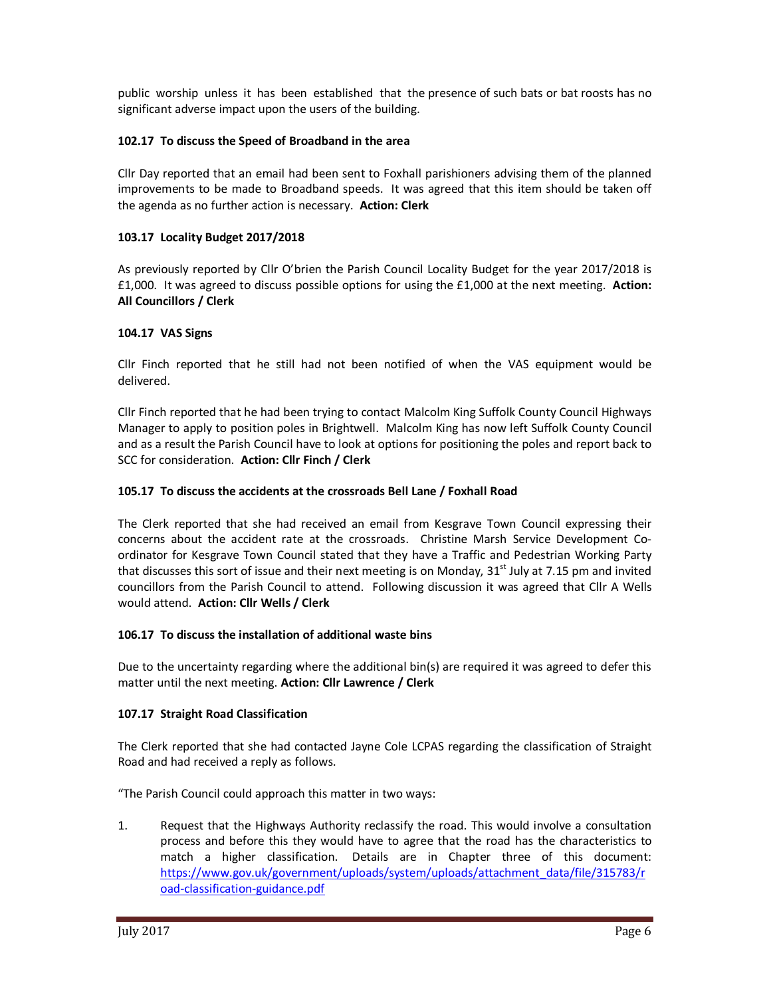public worship unless it has been established that the presence of such bats or bat roosts has no significant adverse impact upon the users of the building.

### **102.17 To discuss the Speed of Broadband in the area**

Cllr Day reported that an email had been sent to Foxhall parishioners advising them of the planned improvements to be made to Broadband speeds. It was agreed that this item should be taken off the agenda as no further action is necessary. **Action: Clerk** 

## **103.17 Locality Budget 2017/2018**

As previously reported by Cllr O'brien the Parish Council Locality Budget for the year 2017/2018 is £1,000. It was agreed to discuss possible options for using the £1,000 at the next meeting. **Action: All Councillors / Clerk** 

## **104.17 VAS Signs**

Cllr Finch reported that he still had not been notified of when the VAS equipment would be delivered.

Cllr Finch reported that he had been trying to contact Malcolm King Suffolk County Council Highways Manager to apply to position poles in Brightwell. Malcolm King has now left Suffolk County Council and as a result the Parish Council have to look at options for positioning the poles and report back to SCC for consideration. **Action: Cllr Finch / Clerk** 

## **105.17 To discuss the accidents at the crossroads Bell Lane / Foxhall Road**

The Clerk reported that she had received an email from Kesgrave Town Council expressing their concerns about the accident rate at the crossroads. Christine Marsh Service Development Coordinator for Kesgrave Town Council stated that they have a Traffic and Pedestrian Working Party that discusses this sort of issue and their next meeting is on Monday,  $31<sup>st</sup>$  July at 7.15 pm and invited councillors from the Parish Council to attend. Following discussion it was agreed that Cllr A Wells would attend. **Action: Cllr Wells / Clerk**

### **106.17 To discuss the installation of additional waste bins**

Due to the uncertainty regarding where the additional bin(s) are required it was agreed to defer this matter until the next meeting. **Action: Cllr Lawrence / Clerk** 

### **107.17 Straight Road Classification**

The Clerk reported that she had contacted Jayne Cole LCPAS regarding the classification of Straight Road and had received a reply as follows.

"The Parish Council could approach this matter in two ways:

1. Request that the Highways Authority reclassify the road. This would involve a consultation process and before this they would have to agree that the road has the characteristics to match a higher classification. Details are in Chapter three of this document: https://www.gov.uk/government/uploads/system/uploads/attachment\_data/file/315783/r oad-classification-guidance.pdf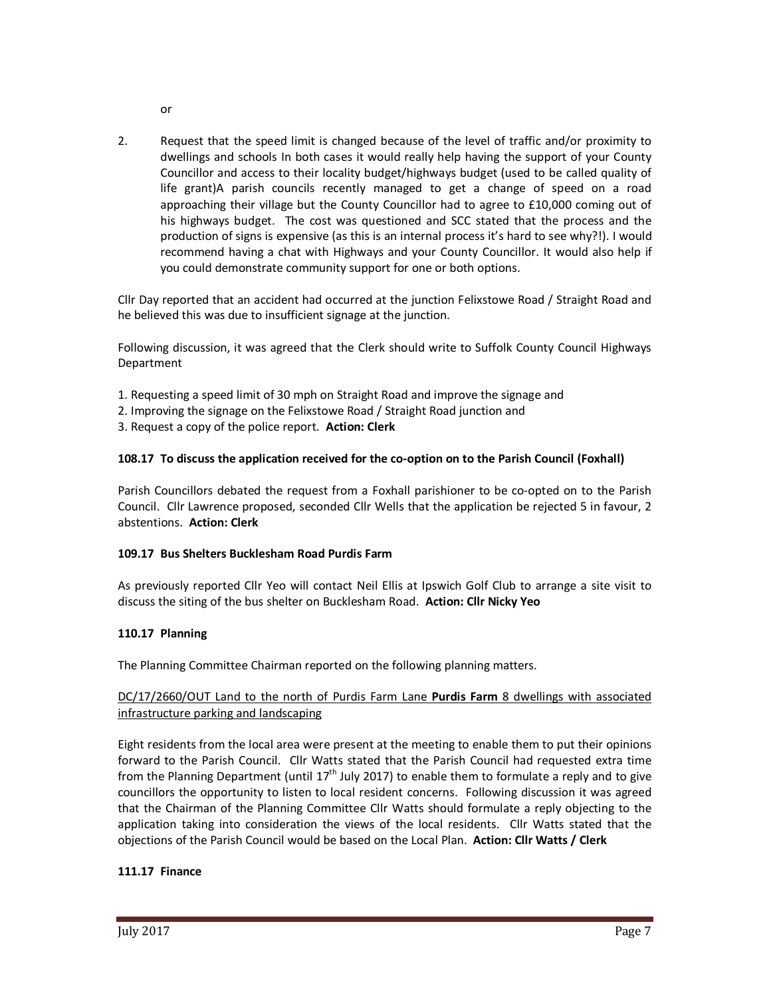- or
- 2. Request that the speed limit is changed because of the level of traffic and/or proximity to dwellings and schools In both cases it would really help having the support of your County Councillor and access to their locality budget/highways budget (used to be called quality of life grant)A parish councils recently managed to get a change of speed on a road approaching their village but the County Councillor had to agree to £10,000 coming out of his highways budget. The cost was questioned and SCC stated that the process and the production of signs is expensive (as this is an internal process it's hard to see why?!). I would recommend having a chat with Highways and your County Councillor. It would also help if you could demonstrate community support for one or both options.

Cllr Day reported that an accident had occurred at the junction Felixstowe Road / Straight Road and he believed this was due to insufficient signage at the junction.

Following discussion, it was agreed that the Clerk should write to Suffolk County Council Highways Department

- 1. Requesting a speed limit of 30 mph on Straight Road and improve the signage and
- 2. Improving the signage on the Felixstowe Road / Straight Road junction and
- 3. Request a copy of the police report. **Action: Clerk**

### **108.17 To discuss the application received for the co-option on to the Parish Council (Foxhall)**

Parish Councillors debated the request from a Foxhall parishioner to be co-opted on to the Parish Council. Cllr Lawrence proposed, seconded Cllr Wells that the application be rejected 5 in favour, 2 abstentions. **Action: Clerk** 

### **109.17 Bus Shelters Bucklesham Road Purdis Farm**

As previously reported Cllr Yeo will contact Neil Ellis at Ipswich Golf Club to arrange a site visit to discuss the siting of the bus shelter on Bucklesham Road. **Action: Cllr Nicky Yeo** 

### **110.17 Planning**

The Planning Committee Chairman reported on the following planning matters.

## DC/17/2660/OUT Land to the north of Purdis Farm Lane **Purdis Farm** 8 dwellings with associated infrastructure parking and landscaping

Eight residents from the local area were present at the meeting to enable them to put their opinions forward to the Parish Council. Cllr Watts stated that the Parish Council had requested extra time from the Planning Department (until  $17^{th}$  July 2017) to enable them to formulate a reply and to give councillors the opportunity to listen to local resident concerns. Following discussion it was agreed that the Chairman of the Planning Committee Cllr Watts should formulate a reply objecting to the application taking into consideration the views of the local residents. Cllr Watts stated that the objections of the Parish Council would be based on the Local Plan. **Action: Cllr Watts / Clerk** 

# **111.17 Finance**